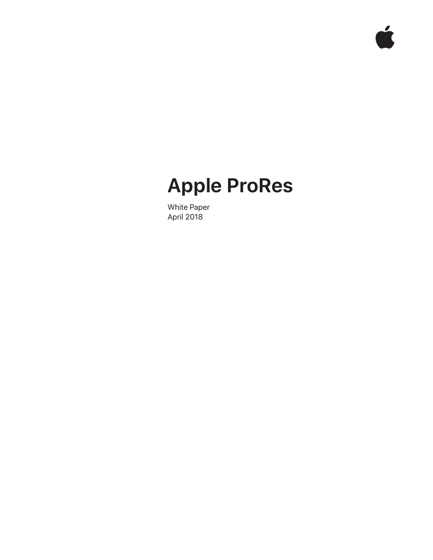# **Apple ProRes**

 $\mathbf{r}$ 

White Paper April 2018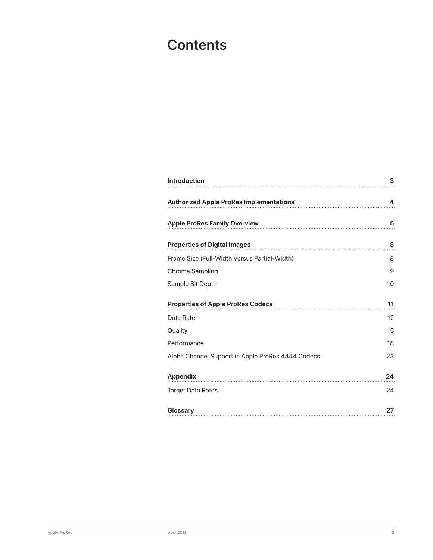# **Contents**

| <b>Introduction</b>                               | 3  |
|---------------------------------------------------|----|
| <b>Authorized Apple ProRes Implementations</b>    | 4  |
| <b>Apple ProRes Family Overview</b>               | 5  |
| <b>Properties of Digital Images</b>               | 8  |
| Frame Size (Full-Width Versus Partial-Width)      | 8  |
| Chroma Sampling                                   | 9  |
| Sample Bit Depth                                  | 10 |
| <b>Properties of Apple ProRes Codecs</b>          | 11 |
| Data Rate                                         | 12 |
| Quality                                           | 15 |
| Performance                                       | 18 |
| Alpha Channel Support in Apple ProRes 4444 Codecs | 23 |
| <b>Appendix</b>                                   | 24 |
| <b>Target Data Rates</b>                          | 24 |
| Glossary                                          | 27 |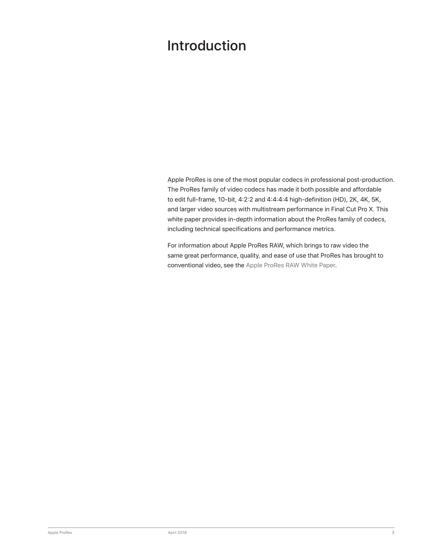# <span id="page-2-0"></span>Introduction

Apple ProRes is one of the most popular codecs in professional post-production. The ProRes family of video codecs has made it both possible and affordable to edit full-frame, 10-bit, 4:2:2 and 4:4:4:4 high-definition (HD), 2K, 4K, 5K, and larger video sources with multistream performance in Final Cut Pro X. This white paper provides in-depth information about the ProRes family of codecs, including technical specifications and performance metrics.

For information about Apple ProRes RAW, which brings to raw video the same great performance, quality, and ease of use that ProRes has brought to conventional video, see the [Apple ProRes RAW White Paper](https://images.apple.com/final-cut-pro/docs/Apple_ProRes_RAW_White_Paper.pdf).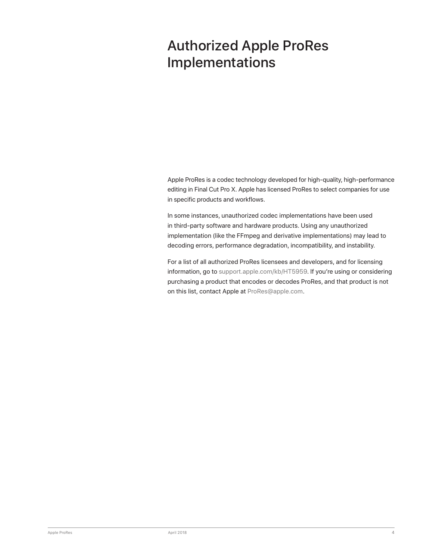# <span id="page-3-0"></span>Authorized Apple ProRes Implementations

Apple ProRes is a codec technology developed for high-quality, high-performance editing in Final Cut Pro X. Apple has licensed ProRes to select companies for use in specific products and workflows.

In some instances, unauthorized codec implementations have been used in third-party software and hardware products. Using any unauthorized implementation (like the FFmpeg and derivative implementations) may lead to decoding errors, performance degradation, incompatibility, and instability.

For a list of all authorized ProRes licensees and developers, and for licensing information, go to [support.apple.com/kb/HT5959](http://support.apple.com/kb/HT5959). If you're using or considering purchasing a product that encodes or decodes ProRes, and that product is not on this list, contact Apple at [ProRes@apple.com](mailto:ProRes%40apple.com?subject=).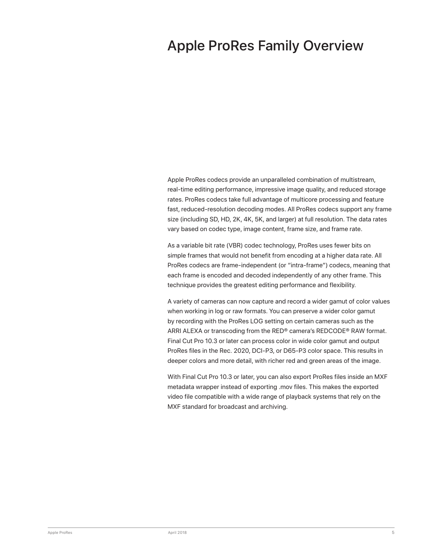# <span id="page-4-0"></span>Apple ProRes Family Overview

Apple ProRes codecs provide an unparalleled combination of multistream, real-time editing performance, impressive image quality, and reduced storage rates. ProRes codecs take full advantage of multicore processing and feature fast, reduced-resolution decoding modes. All ProRes codecs support any frame size (including SD, HD, 2K, 4K, 5K, and larger) at full resolution. The data rates vary based on codec type, image content, frame size, and frame rate.

As a variable bit rate (VBR) codec technology, ProRes uses fewer bits on simple frames that would not benefit from encoding at a higher data rate. All ProRes codecs are frame-independent (or "intra-frame") codecs, meaning that each frame is encoded and decoded independently of any other frame. This technique provides the greatest editing performance and flexibility.

A variety of cameras can now capture and record a wider gamut of color values when working in log or raw formats. You can preserve a wider color gamut by recording with the ProRes LOG setting on certain cameras such as the ARRI ALEXA or transcoding from the RED® camera's REDCODE® RAW format. Final Cut Pro 10.3 or later can process color in wide color gamut and output ProRes files in the Rec. 2020, DCI-P3, or D65-P3 color space. This results in deeper colors and more detail, with richer red and green areas of the image.

With Final Cut Pro 10.3 or later, you can also export ProRes files inside an MXF metadata wrapper instead of exporting .mov files. This makes the exported video file compatible with a wide range of playback systems that rely on the MXF standard for broadcast and archiving.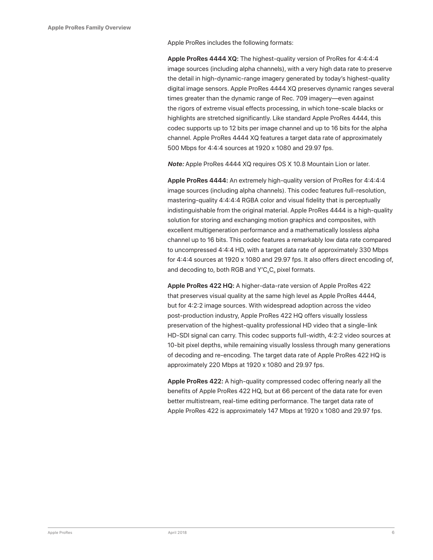Apple ProRes includes the following formats:

**Apple ProRes 4444 XQ:** The highest-quality version of ProRes for 4:4:4:4 image sources (including alpha channels), with a very high data rate to preserve the detail in high-dynamic-range imagery generated by today's highest-quality digital image sensors. Apple ProRes 4444 XQ preserves dynamic ranges several times greater than the dynamic range of Rec. 709 imagery—even against the rigors of extreme visual effects processing, in which tone-scale blacks or highlights are stretched significantly. Like standard Apple ProRes 4444, this codec supports up to 12 bits per image channel and up to 16 bits for the alpha channel. Apple ProRes 4444 XQ features a target data rate of approximately 500 Mbps for 4:4:4 sources at 1920 x 1080 and 29.97 fps.

*Note:* Apple ProRes 4444 XQ requires OS X 10.8 Mountain Lion or later.

**Apple ProRes 4444:** An extremely high-quality version of ProRes for 4:4:4:4 image sources (including alpha channels). This codec features full-resolution, mastering-quality 4:4:4:4 RGBA color and visual fidelity that is perceptually indistinguishable from the original material. Apple ProRes 4444 is a high-quality solution for storing and exchanging motion graphics and composites, with excellent multigeneration performance and a mathematically lossless alpha channel up to 16 bits. This codec features a remarkably low data rate compared to uncompressed 4:4:4 HD, with a target data rate of approximately 330 Mbps for 4:4:4 sources at 1920 x 1080 and 29.97 fps. It also offers direct encoding of, and decoding to, both RGB and  $Y'C_{B}C_{B}$  pixel formats.

**Apple ProRes 422 HQ:** A higher-data-rate version of Apple ProRes 422 that preserves visual quality at the same high level as Apple ProRes 4444, but for 4:2:2 image sources. With widespread adoption across the video post-production industry, Apple ProRes 422 HQ offers visually lossless preservation of the highest-quality professional HD video that a single-link HD-SDI signal can carry. This codec supports full-width, 4:2:2 video sources at 10-bit pixel depths, while remaining visually lossless through many generations of decoding and re-encoding. The target data rate of Apple ProRes 422 HQ is approximately 220 Mbps at 1920 x 1080 and 29.97 fps.

**Apple ProRes 422:** A high-quality compressed codec offering nearly all the benefits of Apple ProRes 422 HQ, but at 66 percent of the data rate for even better multistream, real-time editing performance. The target data rate of Apple ProRes 422 is approximately 147 Mbps at 1920 x 1080 and 29.97 fps.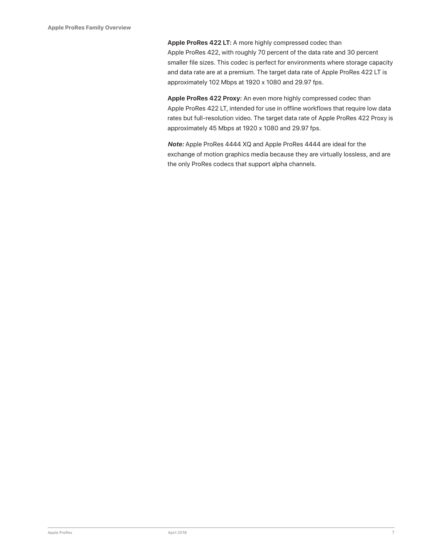**Apple ProRes 422 LT:** A more highly compressed codec than Apple ProRes 422, with roughly 70 percent of the data rate and 30 percent smaller file sizes. This codec is perfect for environments where storage capacity and data rate are at a premium. The target data rate of Apple ProRes 422 LT is approximately 102 Mbps at 1920 x 1080 and 29.97 fps.

**Apple ProRes 422 Proxy:** An even more highly compressed codec than Apple ProRes 422 LT, intended for use in offline workflows that require low data rates but full-resolution video. The target data rate of Apple ProRes 422 Proxy is approximately 45 Mbps at 1920 x 1080 and 29.97 fps.

*Note:* Apple ProRes 4444 XQ and Apple ProRes 4444 are ideal for the exchange of motion graphics media because they are virtually lossless, and are the only ProRes codecs that support alpha channels.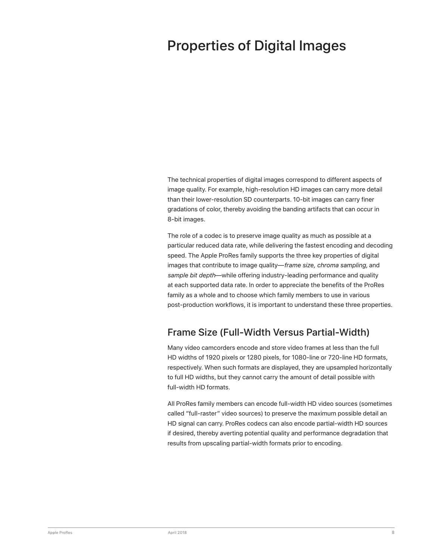# <span id="page-7-0"></span>Properties of Digital Images

The technical properties of digital images correspond to different aspects of image quality. For example, high-resolution HD images can carry more detail than their lower-resolution SD counterparts. 10-bit images can carry finer gradations of color, thereby avoiding the banding artifacts that can occur in 8-bit images.

The role of a codec is to preserve image quality as much as possible at a particular reduced data rate, while delivering the fastest encoding and decoding speed. The Apple ProRes family supports the three key properties of digital images that contribute to image quality—*frame size, chroma sampling,* and *sample bit depth*—while offering industry-leading performance and quality at each supported data rate. In order to appreciate the benefits of the ProRes family as a whole and to choose which family members to use in various post-production workflows, it is important to understand these three properties.

### Frame Size (Full-Width Versus Partial-Width)

Many video camcorders encode and store video frames at less than the full HD widths of 1920 pixels or 1280 pixels, for 1080-line or 720-line HD formats, respectively. When such formats are displayed, they are upsampled horizontally to full HD widths, but they cannot carry the amount of detail possible with full-width HD formats.

All ProRes family members can encode full-width HD video sources (sometimes called "full-raster" video sources) to preserve the maximum possible detail an HD signal can carry. ProRes codecs can also encode partial-width HD sources if desired, thereby averting potential quality and performance degradation that results from upscaling partial-width formats prior to encoding.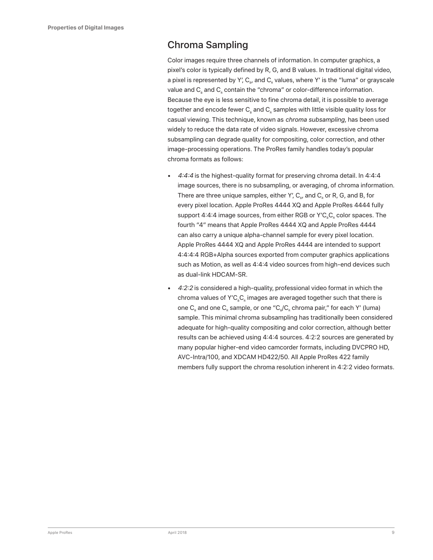### <span id="page-8-0"></span>Chroma Sampling

Color images require three channels of information. In computer graphics, a pixel's color is typically defined by R, G, and B values. In traditional digital video, a pixel is represented by Y',  $C_{B}$ , and  $C_{B}$  values, where Y' is the "luma" or grayscale value and  $C_{R}$  and  $C_{R}$  contain the "chroma" or color-difference information. Because the eye is less sensitive to fine chroma detail, it is possible to average together and encode fewer  $C<sub>s</sub>$  and  $C<sub>s</sub>$  samples with little visible quality loss for casual viewing. This technique, known as *chroma subsampling,* has been used widely to reduce the data rate of video signals. However, excessive chroma subsampling can degrade quality for compositing, color correction, and other image-processing operations. The ProRes family handles today's popular chroma formats as follows:

- *4:4:4* is the highest-quality format for preserving chroma detail. In 4:4:4 image sources, there is no subsampling, or averaging, of chroma information. There are three unique samples, either Y',  $C_{\alpha}$ , and  $C_{\alpha}$  or R, G, and B, for every pixel location. Apple ProRes 4444 XQ and Apple ProRes 4444 fully support 4:4:4 image sources, from either RGB or Y'C<sub>a</sub>C<sub>a</sub> color spaces. The fourth "4" means that Apple ProRes 4444 XQ and Apple ProRes 4444 can also carry a unique alpha-channel sample for every pixel location. Apple ProRes 4444 XQ and Apple ProRes 4444 are intended to support 4:4:4:4 RGB+Alpha sources exported from computer graphics applications such as Motion, as well as 4:4:4 video sources from high-end devices such as dual-link HDCAM-SR.
- *4:2:2* is considered a high-quality, professional video format in which the chroma values of Y'C<sub>e</sub>C<sub>e</sub> images are averaged together such that there is one  $C_{\rm s}$  and one  $C_{\rm s}$  sample, or one " $C_{\rm s}/C_{\rm s}$  chroma pair," for each Y' (luma) sample. This minimal chroma subsampling has traditionally been considered adequate for high-quality compositing and color correction, although better results can be achieved using 4:4:4 sources. 4:2:2 sources are generated by many popular higher-end video camcorder formats, including DVCPRO HD, AVC-Intra/100, and XDCAM HD422/50. All Apple ProRes 422 family members fully support the chroma resolution inherent in 4:2:2 video formats.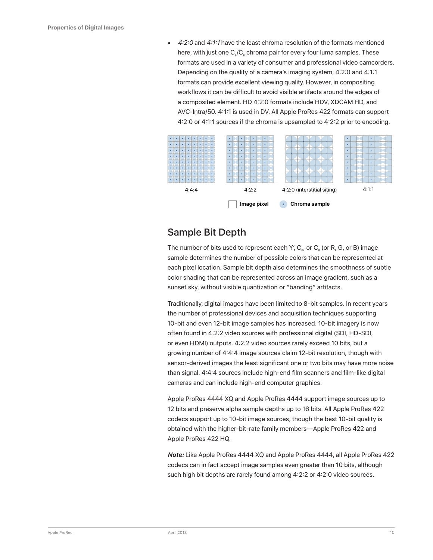<span id="page-9-0"></span>• *4:2:0* and *4:1:1* have the least chroma resolution of the formats mentioned here, with just one C<sub>.</sub>/C, chroma pair for every four luma samples. These formats are used in a variety of consumer and professional video camcorders. Depending on the quality of a camera's imaging system, 4:2:0 and 4:1:1 formats can provide excellent viewing quality. However, in compositing workflows it can be difficult to avoid visible artifacts around the edges of a composited element. HD 4:2:0 formats include HDV, XDCAM HD, and AVC-Intra/50. 4:1:1 is used in DV. All Apple ProRes 422 formats can support 4:2:0 or 4:1:1 sources if the chroma is upsampled to 4:2:2 prior to encoding.



### Sample Bit Depth

The number of bits used to represent each Y',  $C_{\rm B}$ , or  $C_{\rm B}$  (or R, G, or B) image sample determines the number of possible colors that can be represented at each pixel location. Sample bit depth also determines the smoothness of subtle color shading that can be represented across an image gradient, such as a sunset sky, without visible quantization or "banding" artifacts.

Traditionally, digital images have been limited to 8-bit samples. In recent years the number of professional devices and acquisition techniques supporting 10-bit and even 12-bit image samples has increased. 10-bit imagery is now often found in 4:2:2 video sources with professional digital (SDI, HD-SDI, or even HDMI) outputs. 4:2:2 video sources rarely exceed 10 bits, but a growing number of 4:4:4 image sources claim 12-bit resolution, though with sensor-derived images the least significant one or two bits may have more noise than signal. 4:4:4 sources include high-end film scanners and film-like digital cameras and can include high-end computer graphics.

Apple ProRes 4444 XQ and Apple ProRes 4444 support image sources up to 12 bits and preserve alpha sample depths up to 16 bits. All Apple ProRes 422 codecs support up to 10-bit image sources, though the best 10-bit quality is obtained with the higher-bit-rate family members—Apple ProRes 422 and Apple ProRes 422 HQ.

*Note:* Like Apple ProRes 4444 XQ and Apple ProRes 4444, all Apple ProRes 422 codecs can in fact accept image samples even greater than 10 bits, although such high bit depths are rarely found among 4:2:2 or 4:2:0 video sources.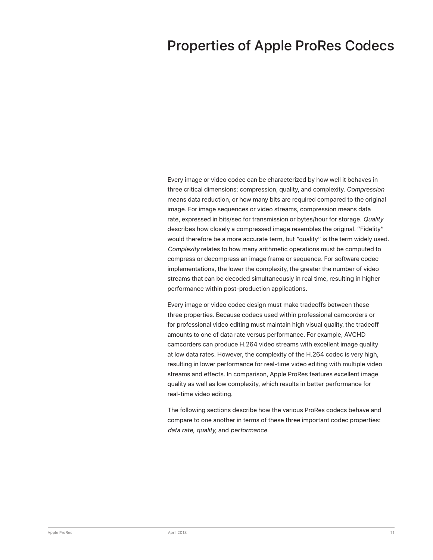## <span id="page-10-0"></span>Properties of Apple ProRes Codecs

Every image or video codec can be characterized by how well it behaves in three critical dimensions: compression, quality, and complexity. *Compression* means data reduction, or how many bits are required compared to the original image. For image sequences or video streams, compression means data rate, expressed in bits/sec for transmission or bytes/hour for storage. *Quality* describes how closely a compressed image resembles the original. "Fidelity" would therefore be a more accurate term, but "quality" is the term widely used. *Complexity* relates to how many arithmetic operations must be computed to compress or decompress an image frame or sequence. For software codec implementations, the lower the complexity, the greater the number of video streams that can be decoded simultaneously in real time, resulting in higher performance within post-production applications.

Every image or video codec design must make tradeoffs between these three properties. Because codecs used within professional camcorders or for professional video editing must maintain high visual quality, the tradeoff amounts to one of data rate versus performance. For example, AVCHD camcorders can produce H.264 video streams with excellent image quality at low data rates. However, the complexity of the H.264 codec is very high, resulting in lower performance for real-time video editing with multiple video streams and effects. In comparison, Apple ProRes features excellent image quality as well as low complexity, which results in better performance for real-time video editing.

The following sections describe how the various ProRes codecs behave and compare to one another in terms of these three important codec properties: *data rate, quality,* and *performance*.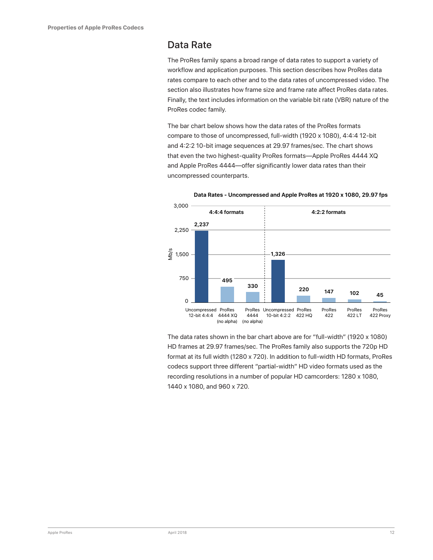#### <span id="page-11-0"></span>Data Rate

The ProRes family spans a broad range of data rates to support a variety of workflow and application purposes. This section describes how ProRes data rates compare to each other and to the data rates of uncompressed video. The section also illustrates how frame size and frame rate affect ProRes data rates. Finally, the text includes information on the variable bit rate (VBR) nature of the ProRes codec family.

The bar chart below shows how the data rates of the ProRes formats compare to those of uncompressed, full-width (1920 x 1080), 4:4:4 12-bit and 4:2:2 10-bit image sequences at 29.97 frames/sec. The chart shows that even the two highest-quality ProRes formats—Apple ProRes 4444 XQ and Apple ProRes 4444—offer significantly lower data rates than their uncompressed counterparts.



**Data Rates - Uncompressed and Apple ProRes at 1920 x 1080, 29.97 fps**

The data rates shown in the bar chart above are for "full-width" (1920 x 1080) HD frames at 29.97 frames/sec. The ProRes family also supports the 720p HD format at its full width (1280 x 720). In addition to full-width HD formats, ProRes codecs support three different "partial-width" HD video formats used as the recording resolutions in a number of popular HD camcorders: 1280 x 1080, 1440 x 1080, and 960 x 720.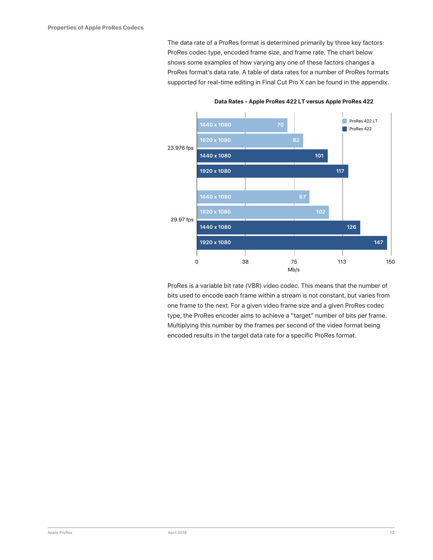The data rate of a ProRes format is determined primarily by three key factors: ProRes codec type, encoded frame size, and frame rate. The chart below shows some examples of how varying any one of these factors changes a ProRes format's data rate. A table of data rates for a number of ProRes formats supported for real-time editing in Final Cut Pro X can be found in the appendix.



**Data Rates - Apple ProRes 422 LT versus Apple ProRes 422**

ProRes is a variable bit rate (VBR) video codec. This means that the number of bits used to encode each frame within a stream is not constant, but varies from one frame to the next. For a given video frame size and a given ProRes codec type, the ProRes encoder aims to achieve a "target" number of bits per frame. Multiplying this number by the frames per second of the video format being encoded results in the target data rate for a specific ProRes format.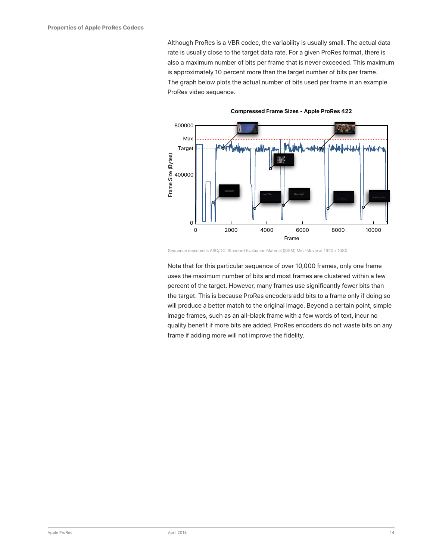Although ProRes is a VBR codec, the variability is usually small. The actual data rate is usually close to the target data rate. For a given ProRes format, there is also a maximum number of bits per frame that is never exceeded. This maximum is approximately 10 percent more than the target number of bits per frame. The graph below plots the actual number of bits used per frame in an example ProRes video sequence.



**Compressed Frame Sizes - Apple ProRes 422**

Sequence depicted is ASC/DCI Standard Evaluation Material (StEM) Mini-Movie at 1920 x 1080.

Note that for this particular sequence of over 10,000 frames, only one frame uses the maximum number of bits and most frames are clustered within a few percent of the target. However, many frames use significantly fewer bits than the target. This is because ProRes encoders add bits to a frame only if doing so will produce a better match to the original image. Beyond a certain point, simple image frames, such as an all-black frame with a few words of text, incur no quality benefit if more bits are added. ProRes encoders do not waste bits on any frame if adding more will not improve the fidelity.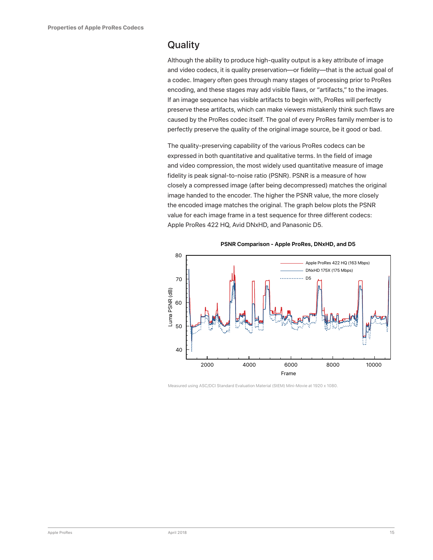### <span id="page-14-0"></span>**Quality**

Although the ability to produce high-quality output is a key attribute of image and video codecs, it is quality preservation—or fidelity—that is the actual goal of a codec. Imagery often goes through many stages of processing prior to ProRes encoding, and these stages may add visible flaws, or "artifacts," to the images. If an image sequence has visible artifacts to begin with, ProRes will perfectly preserve these artifacts, which can make viewers mistakenly think such flaws are caused by the ProRes codec itself. The goal of every ProRes family member is to perfectly preserve the quality of the original image source, be it good or bad.

The quality-preserving capability of the various ProRes codecs can be expressed in both quantitative and qualitative terms. In the field of image and video compression, the most widely used quantitative measure of image fidelity is peak signal-to-noise ratio (PSNR). PSNR is a measure of how closely a compressed image (after being decompressed) matches the original image handed to the encoder. The higher the PSNR value, the more closely the encoded image matches the original. The graph below plots the PSNR value for each image frame in a test sequence for three different codecs: Apple ProRes 422 HQ, Avid DNxHD, and Panasonic D5.



**PSNR Comparison - Apple ProRes, DNxHD, and D5**

Measured using ASC/DCI Standard Evaluation Material (StEM) Mini-Movie at 1920 x 1080.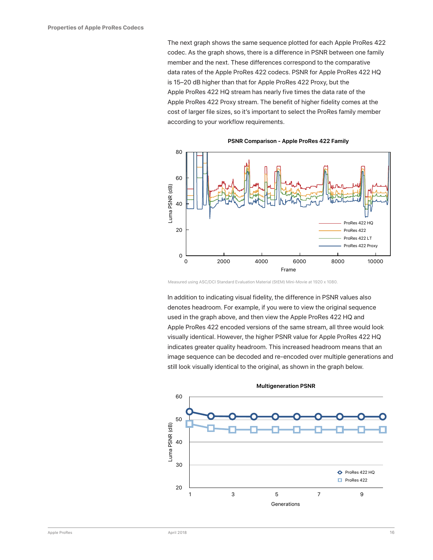The next graph shows the same sequence plotted for each Apple ProRes 422 codec. As the graph shows, there is a difference in PSNR between one family member and the next. These differences correspond to the comparative data rates of the Apple ProRes 422 codecs. PSNR for Apple ProRes 422 HQ is 15–20 dB higher than that for Apple ProRes 422 Proxy, but the Apple ProRes 422 HQ stream has nearly five times the data rate of the Apple ProRes 422 Proxy stream. The benefit of higher fidelity comes at the cost of larger file sizes, so it's important to select the ProRes family member according to your workflow requirements.



**PSNR Comparison - Apple ProRes 422 Family**

Measured using ASC/DCI Standard Evaluation Material (StEM) Mini-Movie at 1920 x 1080.

In addition to indicating visual fidelity, the difference in PSNR values also denotes headroom. For example, if you were to view the original sequence used in the graph above, and then view the Apple ProRes 422 HQ and Apple ProRes 422 encoded versions of the same stream, all three would look visually identical. However, the higher PSNR value for Apple ProRes 422 HQ indicates greater quality headroom. This increased headroom means that an image sequence can be decoded and re-encoded over multiple generations and still look visually identical to the original, as shown in the graph below.

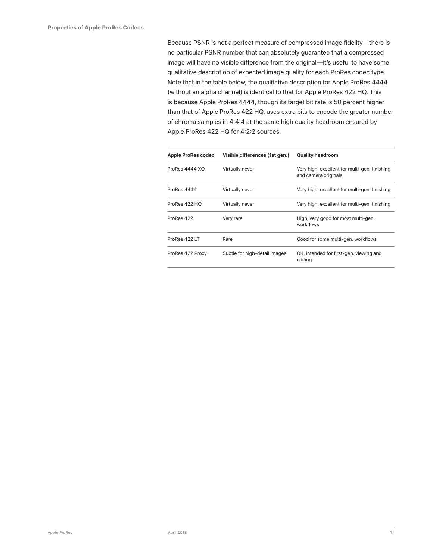Because PSNR is not a perfect measure of compressed image fidelity—there is no particular PSNR number that can absolutely guarantee that a compressed image will have no visible difference from the original—it's useful to have some qualitative description of expected image quality for each ProRes codec type. Note that in the table below, the qualitative description for Apple ProRes 4444 (without an alpha channel) is identical to that for Apple ProRes 422 HQ. This is because Apple ProRes 4444, though its target bit rate is 50 percent higher than that of Apple ProRes 422 HQ, uses extra bits to encode the greater number of chroma samples in 4:4:4 at the same high quality headroom ensured by Apple ProRes 422 HQ for 4:2:2 sources.

| Apple ProRes codec | Visible differences (1st gen.) | <b>Quality headroom</b>                                               |
|--------------------|--------------------------------|-----------------------------------------------------------------------|
| ProRes 4444 XQ     | Virtually never                | Very high, excellent for multi-gen. finishing<br>and camera originals |
| ProRes 4444        | Virtually never                | Very high, excellent for multi-gen. finishing                         |
| ProRes 422 HQ      | Virtually never                | Very high, excellent for multi-gen. finishing                         |
| ProRes 422         | Very rare                      | High, very good for most multi-gen.<br>workflows                      |
| ProRes 422 LT      | Rare                           | Good for some multi-gen. workflows                                    |
| ProRes 422 Proxy   | Subtle for high-detail images  | OK, intended for first-gen. viewing and<br>editing                    |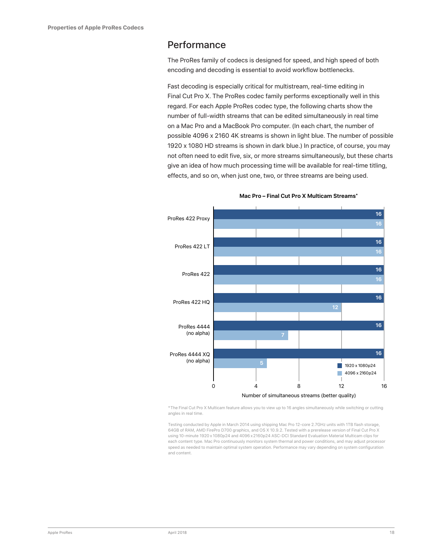#### <span id="page-17-0"></span>Performance

The ProRes family of codecs is designed for speed, and high speed of both encoding and decoding is essential to avoid workflow bottlenecks.

Fast decoding is especially critical for multistream, real-time editing in Final Cut Pro X. The ProRes codec family performs exceptionally well in this regard. For each Apple ProRes codec type, the following charts show the number of full-width streams that can be edited simultaneously in real time on a Mac Pro and a MacBook Pro computer. (In each chart, the number of possible 4096 x 2160 4K streams is shown in light blue. The number of possible 1920 x 1080 HD streams is shown in dark blue.) In practice, of course, you may not often need to edit five, six, or more streams simultaneously, but these charts give an idea of how much processing time will be available for real-time titling, effects, and so on, when just one, two, or three streams are being used.



#### **Mac Pro – Final Cut Pro X Multicam Streams\***

\*The Final Cut Pro X Multicam feature allows you to view up to 16 angles simultaneously while switching or cutting angles in real time.

Testing conducted by Apple in March 2014 using shipping Mac Pro 12-core 2.7GHz units with 1TB flash storage, 64GB of RAM, AMD FirePro D700 graphics, and OS X 10.9.2. Tested with a prerelease version of Final Cut Pro X using 10-minute 1920 x 1080p24 and 4096 x2160p24 ASC-DCI Standard Evaluation Material Multicam clips for each content type. Mac Pro continuously monitors system thermal and power conditions, and may adjust processor speed as needed to maintain optimal system operation. Performance may vary depending on system configuration and content.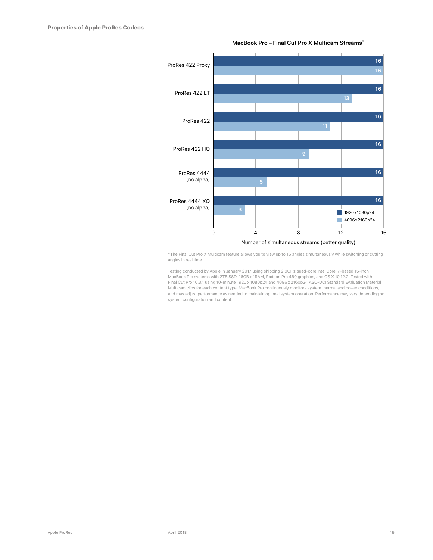

#### **MacBook Pro – Final Cut Pro X Multicam Streams\***

\*The Final Cut Pro X Multicam feature allows you to view up to 16 angles simultaneously while switching or cutting angles in real time.

Testing conducted by Apple in January 2017 using shipping 2.9GHz quad-core Intel Core i7-based 15-inch<br>MacBook Pro systems with 2TB SSD, 16GB of RAM, Radeon Pro 460 graphics, and OS X 10.12.2. Tested with Final Cut Pro 10.3.1 using 10-minute 1920 x 1080p24 and 4096 x 2160p24 ASC-DCI Standard Evaluation Material Multicam clips for each content type. MacBook Pro continuously monitors system thermal and power conditions, and may adjust performance as needed to maintain optimal system operation. Performance may vary depending on system configuration and content.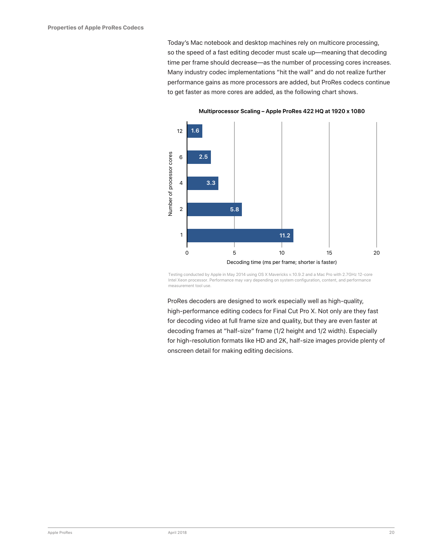Today's Mac notebook and desktop machines rely on multicore processing, so the speed of a fast editing decoder must scale up—meaning that decoding time per frame should decrease—as the number of processing cores increases. Many industry codec implementations "hit the wall" and do not realize further performance gains as more processors are added, but ProRes codecs continue to get faster as more cores are added, as the following chart shows.



**Multiprocessor Scaling – Apple ProRes 422 HQ at 1920 x 1080**

Testing conducted by Apple in May 2014 using OS X Mavericks v.10.9.2 and a Mac Pro with 2.7GHz 12-core Intel Xeon processor. Performance may vary depending on system configuration, content, and performance measurement tool use.

ProRes decoders are designed to work especially well as high-quality, high-performance editing codecs for Final Cut Pro X. Not only are they fast for decoding video at full frame size and quality, but they are even faster at decoding frames at "half-size" frame (1/2 height and 1/2 width). Especially for high-resolution formats like HD and 2K, half-size images provide plenty of onscreen detail for making editing decisions.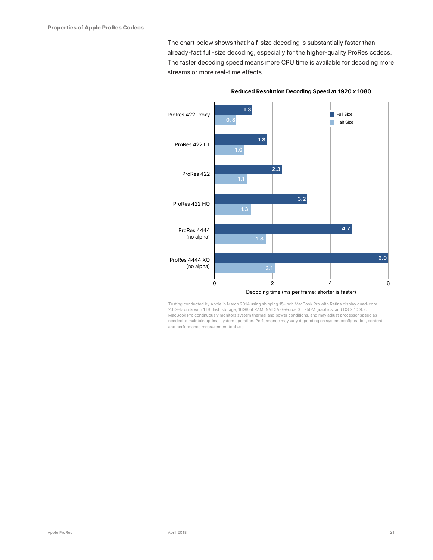The chart below shows that half-size decoding is substantially faster than already-fast full-size decoding, especially for the higher-quality ProRes codecs. The faster decoding speed means more CPU time is available for decoding more streams or more real-time effects.



**Reduced Resolution Decoding Speed at 1920 x 1080**

Testing conducted by Apple in March 2014 using shipping 15-inch MacBook Pro with Retina display quad-core 2.6GHz units with 1TB flash storage, 16GB of RAM, NVIDIA GeForce GT 750M graphics, and OS X 10.9.2. MacBook Pro continuously monitors system thermal and power conditions, and may adjust processor speed as needed to maintain optimal system operation. Performance may vary depending on system configuration, content, and performance measurement tool use.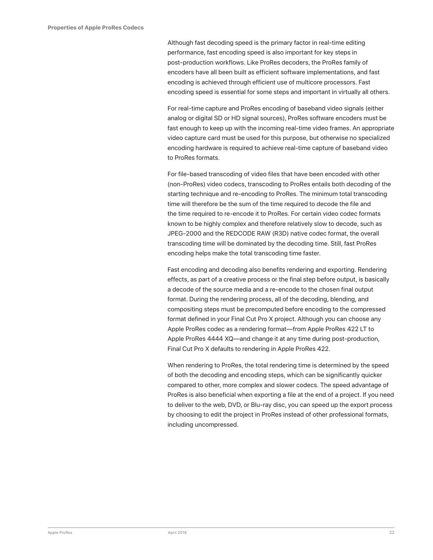Although fast decoding speed is the primary factor in real-time editing performance, fast encoding speed is also important for key steps in post-production workflows. Like ProRes decoders, the ProRes family of encoders have all been built as efficient software implementations, and fast encoding is achieved through efficient use of multicore processors. Fast encoding speed is essential for some steps and important in virtually all others.

For real-time capture and ProRes encoding of baseband video signals (either analog or digital SD or HD signal sources), ProRes software encoders must be fast enough to keep up with the incoming real-time video frames. An appropriate video capture card must be used for this purpose, but otherwise no specialized encoding hardware is required to achieve real-time capture of baseband video to ProRes formats.

For file-based transcoding of video files that have been encoded with other (non-ProRes) video codecs, transcoding to ProRes entails both decoding of the starting technique and re-encoding to ProRes. The minimum total transcoding time will therefore be the sum of the time required to decode the file and the time required to re-encode it to ProRes. For certain video codec formats known to be highly complex and therefore relatively slow to decode, such as JPEG-2000 and the REDCODE RAW (R3D) native codec format, the overall transcoding time will be dominated by the decoding time. Still, fast ProRes encoding helps make the total transcoding time faster.

Fast encoding and decoding also benefits rendering and exporting. Rendering effects, as part of a creative process or the final step before output, is basically a decode of the source media and a re-encode to the chosen final output format. During the rendering process, all of the decoding, blending, and compositing steps must be precomputed before encoding to the compressed format defined in your Final Cut Pro X project. Although you can choose any Apple ProRes codec as a rendering format—from Apple ProRes 422 LT to Apple ProRes 4444 XQ—and change it at any time during post-production, Final Cut Pro X defaults to rendering in Apple ProRes 422.

When rendering to ProRes, the total rendering time is determined by the speed of both the decoding and encoding steps, which can be significantly quicker compared to other, more complex and slower codecs. The speed advantage of ProRes is also beneficial when exporting a file at the end of a project. If you need to deliver to the web, DVD, or Blu-ray disc, you can speed up the export process by choosing to edit the project in ProRes instead of other professional formats, including uncompressed.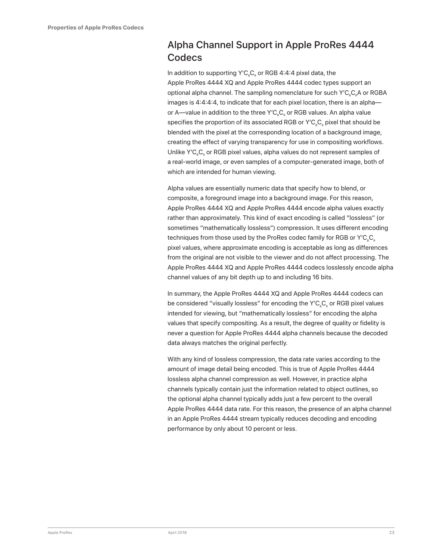### <span id="page-22-0"></span>Alpha Channel Support in Apple ProRes 4444 **Codecs**

In addition to supporting  $Y'C<sub>e</sub>C<sub>e</sub>$  or RGB 4:4:4 pixel data, the Apple ProRes 4444 XQ and Apple ProRes 4444 codec types support an optional alpha channel. The sampling nomenclature for such Y'C<sub>R</sub>C<sub>R</sub>A or RGBA images is 4:4:4:4, to indicate that for each pixel location, there is an alpha or A—value in addition to the three Y'C<sub>a</sub>C<sub>c</sub> or RGB values. An alpha value specifies the proportion of its associated RGB or  $Y'C_{\alpha}C_{\alpha}$  pixel that should be blended with the pixel at the corresponding location of a background image, creating the effect of varying transparency for use in compositing workflows. Unlike Y'C<sub>R</sub>C<sub>R</sub> or RGB pixel values, alpha values do not represent samples of a real-world image, or even samples of a computer-generated image, both of which are intended for human viewing.

Alpha values are essentially numeric data that specify how to blend, or composite, a foreground image into a background image. For this reason, Apple ProRes 4444 XQ and Apple ProRes 4444 encode alpha values exactly rather than approximately. This kind of exact encoding is called "lossless" (or sometimes "mathematically lossless") compression. It uses different encoding techniques from those used by the ProRes codec family for RGB or Y'C<sub>a</sub>C<sub>c</sub> pixel values, where approximate encoding is acceptable as long as differences from the original are not visible to the viewer and do not affect processing. The Apple ProRes 4444 XQ and Apple ProRes 4444 codecs losslessly encode alpha channel values of any bit depth up to and including 16 bits.

In summary, the Apple ProRes 4444 XQ and Apple ProRes 4444 codecs can be considered "visually lossless" for encoding the Y'C<sub>R</sub>C<sub>R</sub> or RGB pixel values intended for viewing, but "mathematically lossless" for encoding the alpha values that specify compositing. As a result, the degree of quality or fidelity is never a question for Apple ProRes 4444 alpha channels because the decoded data always matches the original perfectly.

With any kind of lossless compression, the data rate varies according to the amount of image detail being encoded. This is true of Apple ProRes 4444 lossless alpha channel compression as well. However, in practice alpha channels typically contain just the information related to object outlines, so the optional alpha channel typically adds just a few percent to the overall Apple ProRes 4444 data rate. For this reason, the presence of an alpha channel in an Apple ProRes 4444 stream typically reduces decoding and encoding performance by only about 10 percent or less.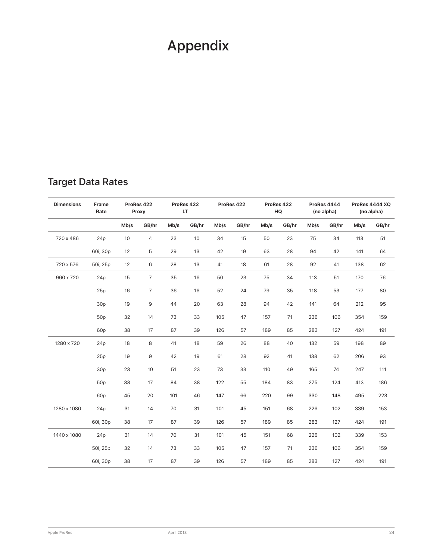# <span id="page-23-0"></span>Appendix

### Target Data Rates

| <b>Dimensions</b> | Frame<br>Rate   | ProRes 422<br>Proxy |                | ProRes 422<br>LT. |       | ProRes 422 |       | ProRes 422<br>HQ |       | ProRes 4444<br>(no alpha) |       | ProRes 4444 XQ<br>(no alpha) |       |
|-------------------|-----------------|---------------------|----------------|-------------------|-------|------------|-------|------------------|-------|---------------------------|-------|------------------------------|-------|
|                   |                 | Mb/s                | GB/hr          | Mb/s              | GB/hr | Mb/s       | GB/hr | Mb/s             | GB/hr | Mb/s                      | GB/hr | Mb/s                         | GB/hr |
| 720 x 486         | 24p             | 10                  | 4              | 23                | 10    | 34         | 15    | 50               | 23    | 75                        | 34    | 113                          | 51    |
|                   | 60i, 30p        | 12                  | 5              | 29                | 13    | 42         | 19    | 63               | 28    | 94                        | 42    | 141                          | 64    |
| 720 x 576         | 50i, 25p        | 12                  | 6              | 28                | 13    | 41         | 18    | 61               | 28    | 92                        | 41    | 138                          | 62    |
| 960 x 720         | 24p             | 15                  | $\overline{7}$ | 35                | 16    | 50         | 23    | 75               | 34    | 113                       | 51    | 170                          | 76    |
|                   | 25p             | 16                  | $\overline{7}$ | 36                | 16    | 52         | 24    | 79               | 35    | 118                       | 53    | 177                          | 80    |
|                   | 30p             | 19                  | 9              | 44                | 20    | 63         | 28    | 94               | 42    | 141                       | 64    | 212                          | 95    |
|                   | 50p             | 32                  | 14             | 73                | 33    | 105        | 47    | 157              | 71    | 236                       | 106   | 354                          | 159   |
|                   | 60p             | 38                  | 17             | 87                | 39    | 126        | 57    | 189              | 85    | 283                       | 127   | 424                          | 191   |
| 1280 x 720        | 24p             | 18                  | 8              | 41                | 18    | 59         | 26    | 88               | 40    | 132                       | 59    | 198                          | 89    |
|                   | 25p             | 19                  | 9              | 42                | 19    | 61         | 28    | 92               | 41    | 138                       | 62    | 206                          | 93    |
|                   | 30p             | 23                  | 10             | 51                | 23    | 73         | 33    | 110              | 49    | 165                       | 74    | 247                          | 111   |
|                   | 50p             | 38                  | 17             | 84                | 38    | 122        | 55    | 184              | 83    | 275                       | 124   | 413                          | 186   |
|                   | 60 <sub>p</sub> | 45                  | 20             | 101               | 46    | 147        | 66    | 220              | 99    | 330                       | 148   | 495                          | 223   |
| 1280 x 1080       | 24p             | 31                  | 14             | 70                | 31    | 101        | 45    | 151              | 68    | 226                       | 102   | 339                          | 153   |
|                   | 60i, 30p        | 38                  | 17             | 87                | 39    | 126        | 57    | 189              | 85    | 283                       | 127   | 424                          | 191   |
| 1440 x 1080       | 24p             | 31                  | 14             | 70                | 31    | 101        | 45    | 151              | 68    | 226                       | 102   | 339                          | 153   |
|                   | 50i, 25p        | 32                  | 14             | 73                | 33    | 105        | 47    | 157              | 71    | 236                       | 106   | 354                          | 159   |
|                   | 60i, 30p        | 38                  | 17             | 87                | 39    | 126        | 57    | 189              | 85    | 283                       | 127   | 424                          | 191   |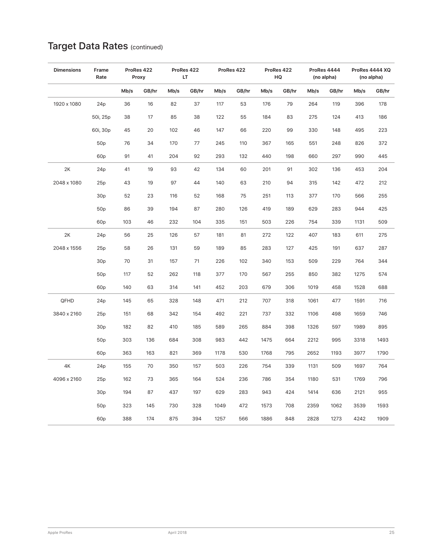#### **Dimensions Frame Rate ProRes 422 Proxy ProRes 422 LT ProRes 422 ProRes 422 HQ ProRes 4444 (no alpha) ProRes 4444 XQ (no alpha) Mb/s GB/hr Mb/s GB/hr Mb/s GB/hr Mb/s GB/hr Mb/s GB/hr Mb/s GB/hr** 1920 x 1080 24p 36 16 82 37 117 53 176 79 264 119 396 178 50i, 25p 38 17 85 38 122 55 184 83 275 124 413 186 60i, 30p 45 20 102 46 147 66 220 99 330 148 495 223 50p 76 34 170 77 245 110 367 165 551 248 826 372 60p 91 41 204 92 293 132 440 198 660 297 990 445 2K 24p 41 19 93 42 134 60 201 91 302 136 453 204 2048 x 1080 25p 43 19 97 44 140 63 210 94 315 142 472 212 30p 52 23 116 52 168 75 251 113 377 170 566 255 50p 86 39 194 87 280 126 419 189 629 283 944 425 60p 103 46 232 104 335 151 503 226 754 339 1131 509 2K 24p 56 25 126 57 181 81 272 122 407 183 611 275 2048 x 1556 25p 58 26 131 59 189 85 283 127 425 191 637 287 30p 70 31 157 71 226 102 340 153 509 229 764 344 50p 117 52 262 118 377 170 567 255 850 382 1275 574 60p 140 63 314 141 452 203 679 306 1019 458 1528 688 QFHD 24p 145 65 328 148 471 212 707 318 1061 477 1591 716 3840 x 2160 25p 151 68 342 154 492 221 737 332 1106 498 1659 746 30p 182 82 410 185 589 265 884 398 1326 597 1989 895 50p 303 136 684 308 983 442 1475 664 2212 995 3318 1493 60p 363 163 821 369 1178 530 1768 795 2652 1193 3977 1790 4K 24p 155 70 350 157 503 226 754 339 1131 509 1697 764 4096 x 2160 25p 162 73 365 164 524 236 786 354 1180 531 1769 796 30p 194 87 437 197 629 283 943 424 1414 636 2121 955 50p 323 145 730 328 1049 472 1573 708 2359 1062 3539 1593 60p 388 174 875 394 1257 566 1886 848 2828 1273 4242 1909

### Target Data Rates (continued)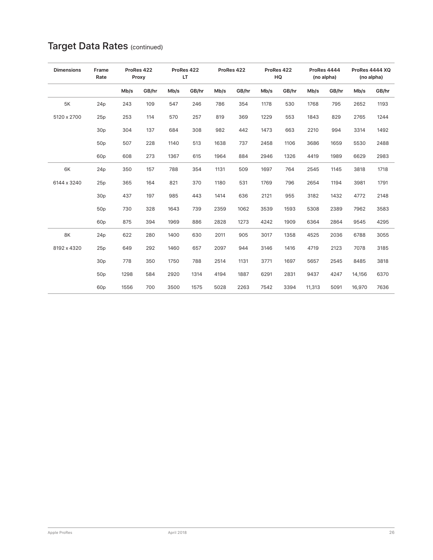| <b>Dimensions</b> | Frame<br>Rate   |      | ProRes 422<br>Proxy |      | ProRes 422<br>LT |      | ProRes 422 |      | ProRes 422<br>HQ |        | ProRes 4444<br>(no alpha) |        | ProRes 4444 XQ<br>(no alpha) |  |
|-------------------|-----------------|------|---------------------|------|------------------|------|------------|------|------------------|--------|---------------------------|--------|------------------------------|--|
|                   |                 | Mb/s | GB/hr               | Mb/s | GB/hr            | Mb/s | GB/hr      | Mb/s | GB/hr            | Mb/s   | GB/hr                     | Mb/s   | GB/hr                        |  |
| <b>5K</b>         | 24p             | 243  | 109                 | 547  | 246              | 786  | 354        | 1178 | 530              | 1768   | 795                       | 2652   | 1193                         |  |
| 5120 x 2700       | 25p             | 253  | 114                 | 570  | 257              | 819  | 369        | 1229 | 553              | 1843   | 829                       | 2765   | 1244                         |  |
|                   | 30p             | 304  | 137                 | 684  | 308              | 982  | 442        | 1473 | 663              | 2210   | 994                       | 3314   | 1492                         |  |
|                   | 50p             | 507  | 228                 | 1140 | 513              | 1638 | 737        | 2458 | 1106             | 3686   | 1659                      | 5530   | 2488                         |  |
|                   | 60 <sub>p</sub> | 608  | 273                 | 1367 | 615              | 1964 | 884        | 2946 | 1326             | 4419   | 1989                      | 6629   | 2983                         |  |
| 6K                | 24p             | 350  | 157                 | 788  | 354              | 1131 | 509        | 1697 | 764              | 2545   | 1145                      | 3818   | 1718                         |  |
| 6144 x 3240       | 25p             | 365  | 164                 | 821  | 370              | 1180 | 531        | 1769 | 796              | 2654   | 1194                      | 3981   | 1791                         |  |
|                   | 30 <sub>p</sub> | 437  | 197                 | 985  | 443              | 1414 | 636        | 2121 | 955              | 3182   | 1432                      | 4772   | 2148                         |  |
|                   | 50p             | 730  | 328                 | 1643 | 739              | 2359 | 1062       | 3539 | 1593             | 5308   | 2389                      | 7962   | 3583                         |  |
|                   | 60 <sub>p</sub> | 875  | 394                 | 1969 | 886              | 2828 | 1273       | 4242 | 1909             | 6364   | 2864                      | 9545   | 4295                         |  |
| 8K                | 24p             | 622  | 280                 | 1400 | 630              | 2011 | 905        | 3017 | 1358             | 4525   | 2036                      | 6788   | 3055                         |  |
| 8192 x 4320       | 25p             | 649  | 292                 | 1460 | 657              | 2097 | 944        | 3146 | 1416             | 4719   | 2123                      | 7078   | 3185                         |  |
|                   | 30 <sub>p</sub> | 778  | 350                 | 1750 | 788              | 2514 | 1131       | 3771 | 1697             | 5657   | 2545                      | 8485   | 3818                         |  |
|                   | 50 <sub>p</sub> | 1298 | 584                 | 2920 | 1314             | 4194 | 1887       | 6291 | 2831             | 9437   | 4247                      | 14,156 | 6370                         |  |
|                   | 60 <sub>p</sub> | 1556 | 700                 | 3500 | 1575             | 5028 | 2263       | 7542 | 3394             | 11,313 | 5091                      | 16,970 | 7636                         |  |

### Target Data Rates (continued)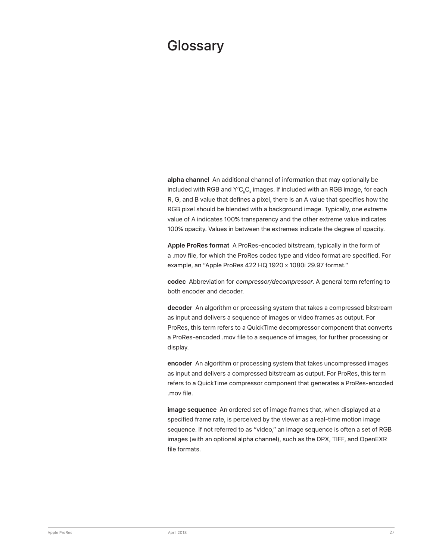# <span id="page-26-0"></span>**Glossary**

**alpha channel** An additional channel of information that may optionally be included with RGB and  $Y'C<sub>n</sub>C<sub>n</sub>$  images. If included with an RGB image, for each R, G, and B value that defines a pixel, there is an A value that specifies how the RGB pixel should be blended with a background image. Typically, one extreme value of A indicates 100% transparency and the other extreme value indicates 100% opacity. Values in between the extremes indicate the degree of opacity.

**Apple ProRes format** A ProRes-encoded bitstream, typically in the form of a .mov file, for which the ProRes codec type and video format are specified. For example, an "Apple ProRes 422 HQ 1920 x 1080i 29.97 format."

**codec** Abbreviation for *compressor/decompressor*. A general term referring to both encoder and decoder.

**decoder** An algorithm or processing system that takes a compressed bitstream as input and delivers a sequence of images or video frames as output. For ProRes, this term refers to a QuickTime decompressor component that converts a ProRes-encoded .mov file to a sequence of images, for further processing or display.

**encoder** An algorithm or processing system that takes uncompressed images as input and delivers a compressed bitstream as output. For ProRes, this term refers to a QuickTime compressor component that generates a ProRes-encoded .mov file.

**image sequence** An ordered set of image frames that, when displayed at a specified frame rate, is perceived by the viewer as a real-time motion image sequence. If not referred to as "video," an image sequence is often a set of RGB images (with an optional alpha channel), such as the DPX, TIFF, and OpenEXR file formats.